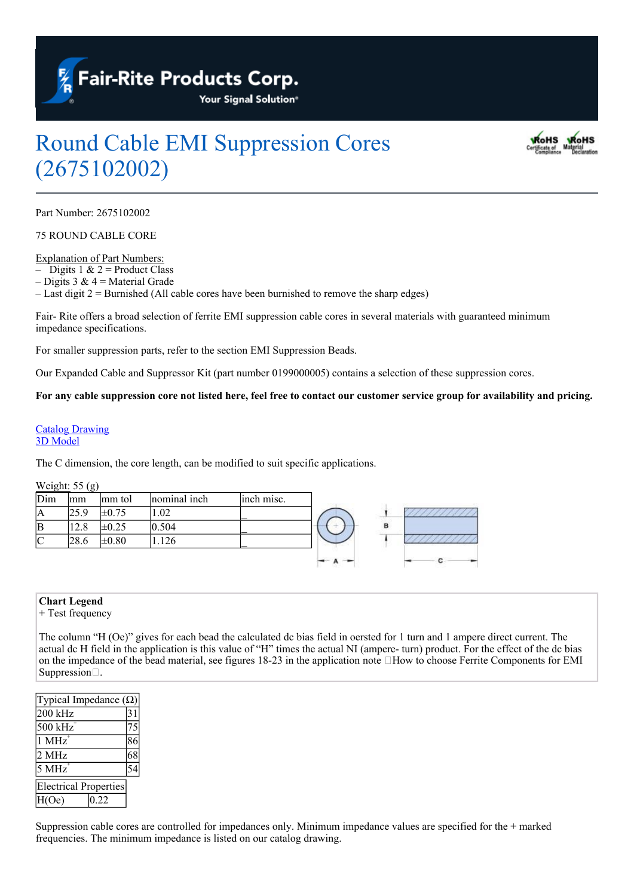

# Round Cable EMI Suppression Cores (2675102002)



Part Number: 2675102002

75 ROUND CABLE CORE

Explanation of Part Numbers:

– Digits 1  $& 2$  = Product Class

– Digits 3 &  $4$  = Material Grade

– Last digit 2 = Burnished (All cable cores have been burnished to remove the sharp edges)

Fair- Rite offers a broad selection of ferrite EMI suppression cable cores in several materials with guaranteed minimum impedance specifications.

For smaller suppression parts, refer to the section EMI Suppression Beads.

Our Expanded Cable and Suppressor Kit (part number 0199000005) contains a selection of these suppression cores.

For any cable suppression core not listed here, feel free to contact our customer service group for availability and pricing.

#### [Catalog](https://www.fair-rite.com/wp-content/uploads/2020/03/2675102002cat.pdf) [Drawing](https://www.fair-rite.com/wp-content/uploads/2020/03/2675102002cat.pdf) [3D](https://www.fair-rite.com/wp-content/uploads/2020/03/2675102002.zip) [Model](https://www.fair-rite.com/wp-content/uploads/2020/03/2675102002.zip)

The C dimension, the core length, can be modified to suit specific applications.

#### Weight: 55 (g)

| Dim | lmm  | mm tol     | nominal inch | inch misc. |                   |
|-----|------|------------|--------------|------------|-------------------|
| IA  | 25.9 | $\pm 0.75$ | .02          |            | <b>CONTRACTOR</b> |
| ΙB  | 12.8 | $\pm 0.25$ | 0.504        |            |                   |
| IC  | 28.6 | $\pm 0.80$ | 126          |            |                   |
|     |      |            |              |            | c                 |

### **Chart Legend**

+ Test frequency

The column "H (Oe)" gives for each bead the calculated dc bias field in oersted for 1 turn and 1 ampere direct current. The actual dc H field in the application is this value of "H" times the actual NI (ampere- turn) product. For the effect of the dc bias on the impedance of the bead material, see figures 18-23 in the application note  $\Box$  How to choose Ferrite Components for EMI Suppression...

| Typical Impedance $(\Omega)$ |    |  |  |  |
|------------------------------|----|--|--|--|
| 200 kHz                      | 31 |  |  |  |
| $500$ kHz                    | 75 |  |  |  |
| $1$ MHz <sup>+</sup>         | 86 |  |  |  |
| 2 MHz                        | 68 |  |  |  |
| 5 MHz                        |    |  |  |  |
| <b>Electrical Properties</b> |    |  |  |  |
| H(Oe)<br>0.22                |    |  |  |  |

Suppression cable cores are controlled for impedances only. Minimum impedance values are specified for the + marked frequencies. The minimum impedance is listed on our catalog drawing.